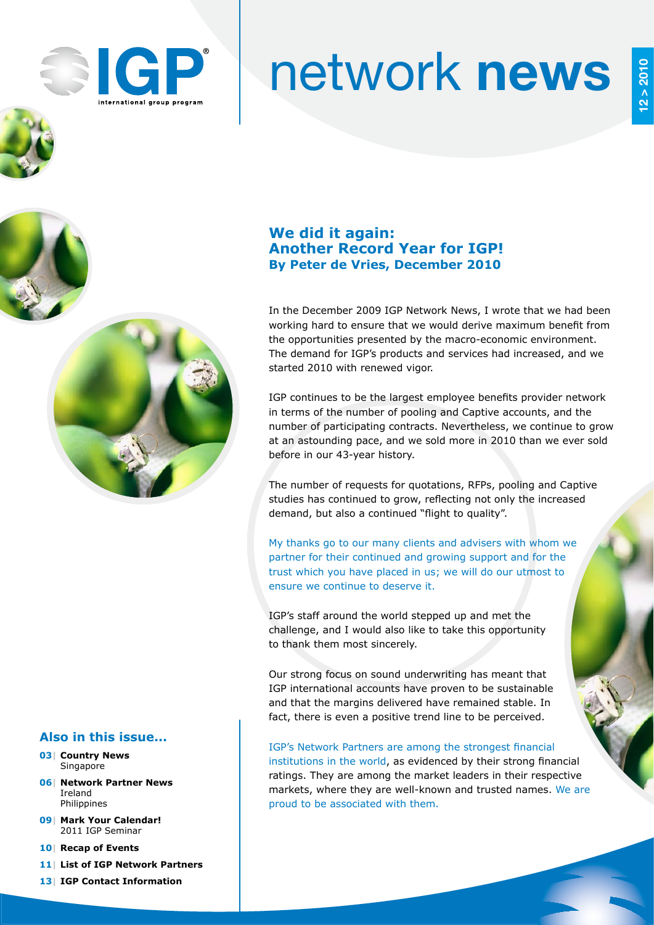

# network news

## **We did it again: Another Record Year for IGP! By Peter de Vries, December 2010**

In the December 2009 IGP Network News, I wrote that we had been working hard to ensure that we would derive maximum benefit from the opportunities presented by the macro-economic environment. The demand for IGP's products and services had increased, and we started 2010 with renewed vigor.

IGP continues to be the largest employee benefits provider network in terms of the number of pooling and Captive accounts, and the number of participating contracts. Nevertheless, we continue to grow at an astounding pace, and we sold more in 2010 than we ever sold before in our 43-year history.

The number of requests for quotations, RFPs, pooling and Captive studies has continued to grow, reflecting not only the increased demand, but also a continued "flight to quality".

My thanks go to our many clients and advisers with whom we partner for their continued and growing support and for the trust which you have placed in us; we will do our utmost to ensure we continue to deserve it.

IGP's staff around the world stepped up and met the challenge, and I would also like to take this opportunity to thank them most sincerely.

Our strong focus on sound underwriting has meant that IGP international accounts have proven to be sustainable and that the margins delivered have remained stable. In fact, there is even a positive trend line to be perceived.

IGP's Network Partners are among the strongest financial institutions in the world, as evidenced by their strong financial ratings. They are among the market leaders in their respective markets, where they are well-known and trusted names. We are proud to be associated with them.

## **Also in this issue...**

- **03| Country News** Singapore
- **06| Network Partner News** Ireland Philippines
- **09| Mark Your Calendar!** 2011 IGP Seminar
- **10| Recap of Events**
- **11| List of IGP Network Partners**
- **13| IGP Contact Information**

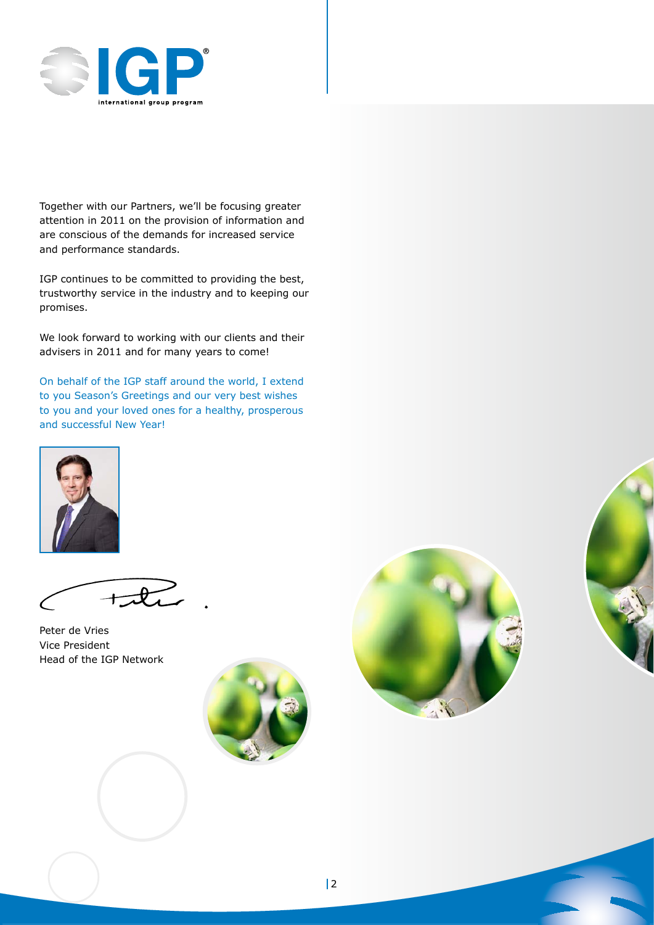

Together with our Partners, we'll be focusing greater attention in 2011 on the provision of information and are conscious of the demands for increased service and performance standards.

IGP continues to be committed to providing the best, trustworthy service in the industry and to keeping our promises.

We look forward to working with our clients and their advisers in 2011 and for many years to come!

On behalf of the IGP staff around the world, I extend to you Season's Greetings and our very best wishes to you and your loved ones for a healthy, prosperous and successful New Year!



Peter de Vries Vice President Head of the IGP Network





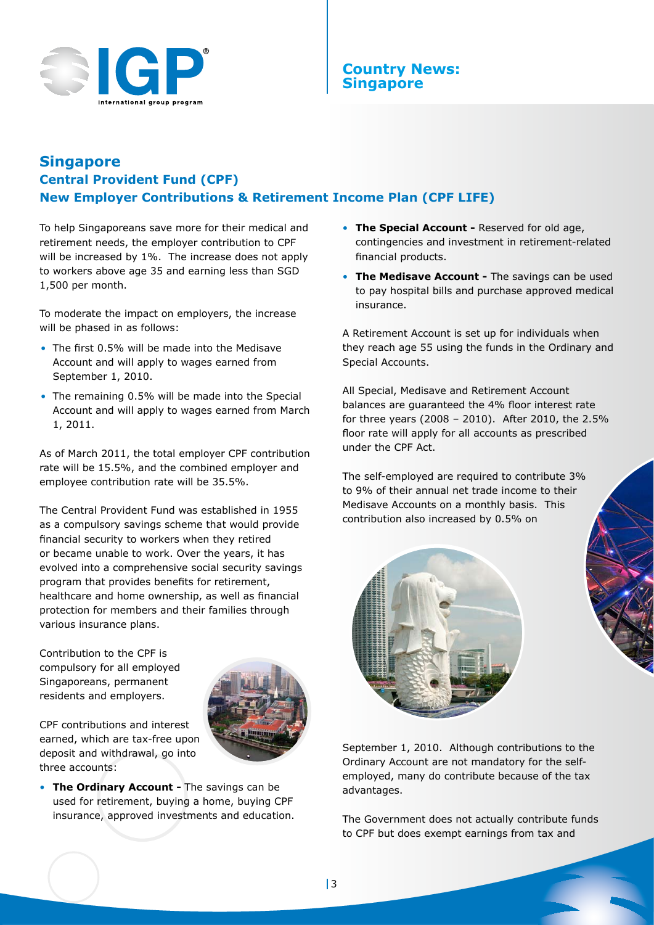

## **Country News: Singapore**

## **Singapore Central Provident Fund (CPF) New Employer Contributions & Retirement Income Plan (CPF LIFE)**

To help Singaporeans save more for their medical and retirement needs, the employer contribution to CPF will be increased by 1%. The increase does not apply to workers above age 35 and earning less than SGD 1,500 per month.

To moderate the impact on employers, the increase will be phased in as follows:

- The first 0.5% will be made into the Medisave Account and will apply to wages earned from September 1, 2010.
- The remaining 0.5% will be made into the Special Account and will apply to wages earned from March 1, 2011.

As of March 2011, the total employer CPF contribution rate will be 15.5%, and the combined employer and employee contribution rate will be 35.5%.

The Central Provident Fund was established in 1955 as a compulsory savings scheme that would provide financial security to workers when they retired or became unable to work. Over the years, it has evolved into a comprehensive social security savings program that provides benefits for retirement, healthcare and home ownership, as well as financial protection for members and their families through various insurance plans.

Contribution to the CPF is compulsory for all employed Singaporeans, permanent residents and employers.



CPF contributions and interest earned, which are tax-free upon deposit and withdrawal, go into three accounts:

• **The Ordinary Account -** The savings can be used for retirement, buying a home, buying CPF insurance, approved investments and education.

- **The Special Account** Reserved for old age, contingencies and investment in retirement-related financial products.
- **The Medisave Account -** The savings can be used to pay hospital bills and purchase approved medical insurance.

A Retirement Account is set up for individuals when they reach age 55 using the funds in the Ordinary and Special Accounts.

All Special, Medisave and Retirement Account balances are guaranteed the 4% floor interest rate for three years (2008 – 2010). After 2010, the 2.5% floor rate will apply for all accounts as prescribed under the CPF Act.

The self-employed are required to contribute 3% to 9% of their annual net trade income to their Medisave Accounts on a monthly basis. This contribution also increased by 0.5% on



September 1, 2010. Although contributions to the Ordinary Account are not mandatory for the selfemployed, many do contribute because of the tax advantages.

The Government does not actually contribute funds to CPF but does exempt earnings from tax and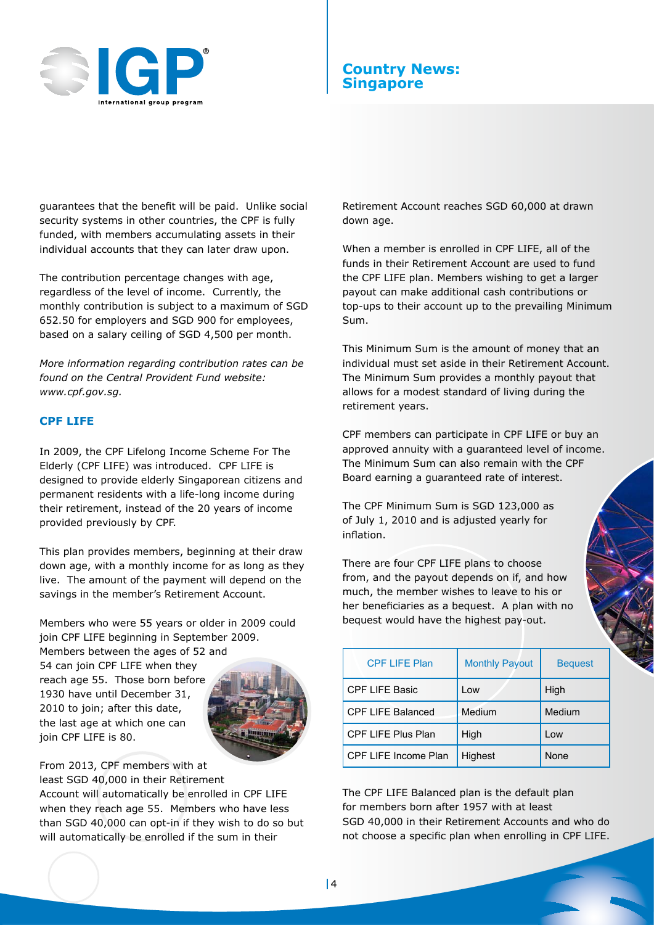

## **Country News: Singapore**

guarantees that the benefit will be paid. Unlike social security systems in other countries, the CPF is fully funded, with members accumulating assets in their individual accounts that they can later draw upon.

The contribution percentage changes with age, regardless of the level of income. Currently, the monthly contribution is subject to a maximum of SGD 652.50 for employers and SGD 900 for employees, based on a salary ceiling of SGD 4,500 per month.

*More information regarding contribution rates can be found on the Central Provident Fund website: www.cpf.gov.sg.*

#### **CPF LIFE**

In 2009, the CPF Lifelong Income Scheme For The Elderly (CPF LIFE) was introduced. CPF LIFE is designed to provide elderly Singaporean citizens and permanent residents with a life-long income during their retirement, instead of the 20 years of income provided previously by CPF.

This plan provides members, beginning at their draw down age, with a monthly income for as long as they live. The amount of the payment will depend on the savings in the member's Retirement Account.

Members who were 55 years or older in 2009 could join CPF LIFE beginning in September 2009.

Members between the ages of 52 and 54 can join CPF LIFE when they reach age 55. Those born before 1930 have until December 31, 2010 to join; after this date, the last age at which one can join CPF LIFE is 80.



From 2013, CPF members with at least SGD 40,000 in their Retirement

Account will automatically be enrolled in CPF LIFE when they reach age 55. Members who have less than SGD 40,000 can opt-in if they wish to do so but will automatically be enrolled if the sum in their

Retirement Account reaches SGD 60,000 at drawn down age.

When a member is enrolled in CPF LIFE, all of the funds in their Retirement Account are used to fund the CPF LIFE plan. Members wishing to get a larger payout can make additional cash contributions or top-ups to their account up to the prevailing Minimum Sum.

This Minimum Sum is the amount of money that an individual must set aside in their Retirement Account. The Minimum Sum provides a monthly payout that allows for a modest standard of living during the retirement years.

CPF members can participate in CPF LIFE or buy an approved annuity with a guaranteed level of income. The Minimum Sum can also remain with the CPF Board earning a guaranteed rate of interest.

The CPF Minimum Sum is SGD 123,000 as of July 1, 2010 and is adjusted yearly for inflation.

There are four CPF LIFE plans to choose from, and the payout depends on if, and how much, the member wishes to leave to his or her beneficiaries as a bequest. A plan with no bequest would have the highest pay-out.

| <b>CPF LIFE Plan</b>        | <b>Monthly Payout</b> | <b>Bequest</b> |
|-----------------------------|-----------------------|----------------|
| <b>CPF LIFE Basic</b>       | Low                   | High           |
| <b>CPF LIFE Balanced</b>    | Medium                | Medium         |
| <b>CPF LIFE Plus Plan</b>   | High                  | Low            |
| <b>CPF LIFE Income Plan</b> | Highest               | None           |

The CPF LIFE Balanced plan is the default plan for members born after 1957 with at least SGD 40,000 in their Retirement Accounts and who do not choose a specific plan when enrolling in CPF LIFE.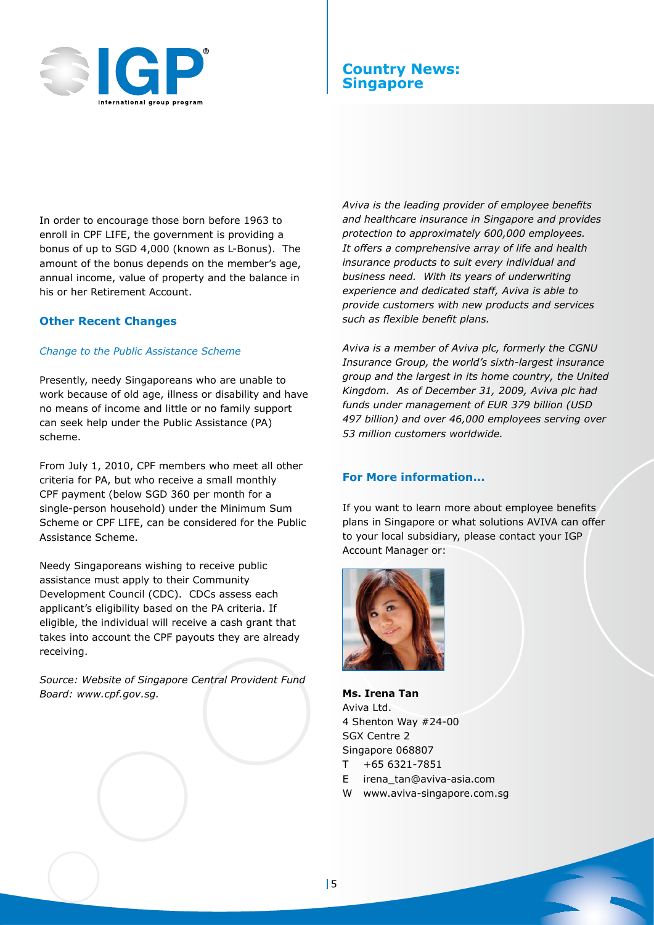

## **Country News: Singapore**

In order to encourage those born before 1963 to enroll in CPF LIFE, the government is providing a bonus of up to SGD 4,000 (known as L-Bonus). The amount of the bonus depends on the member's age, annual income, value of property and the balance in his or her Retirement Account.

#### **Other Recent Changes**

#### *Change to the Public Assistance Scheme*

Presently, needy Singaporeans who are unable to work because of old age, illness or disability and have no means of income and little or no family support can seek help under the Public Assistance (PA) scheme.

From July 1, 2010, CPF members who meet all other criteria for PA, but who receive a small monthly CPF payment (below SGD 360 per month for a single-person household) under the Minimum Sum Scheme or CPF LIFE, can be considered for the Public Assistance Scheme.

Needy Singaporeans wishing to receive public assistance must apply to their Community Development Council (CDC). CDCs assess each applicant's eligibility based on the PA criteria. If eligible, the individual will receive a cash grant that takes into account the CPF payouts they are already receiving.

*Source: Website of Singapore Central Provident Fund Board: www.cpf.gov.sg.*

*Aviva is the leading provider of employee benefits and healthcare insurance in Singapore and provides protection to approximately 600,000 employees. It offers a comprehensive array of life and health insurance products to suit every individual and business need. With its years of underwriting experience and dedicated staff, Aviva is able to provide customers with new products and services such as flexible benefit plans.*

*Aviva is a member of Aviva plc, formerly the CGNU Insurance Group, the world's sixth-largest insurance group and the largest in its home country, the United Kingdom. As of December 31, 2009, Aviva plc had funds under management of EUR 379 billion (USD 497 billion) and over 46,000 employees serving over 53 million customers worldwide.*

#### **For More information...**

If you want to learn more about employee benefits plans in Singapore or what solutions AVIVA can offer to your local subsidiary, please contact your IGP Account Manager or:



**Ms. Irena Tan** Aviva Ltd. 4 Shenton Way #24-00 SGX Centre 2 Singapore 068807

- $T + 656321 7851$
- E irena\_tan@aviva-asia.com
- W www.aviva-singapore.com.sg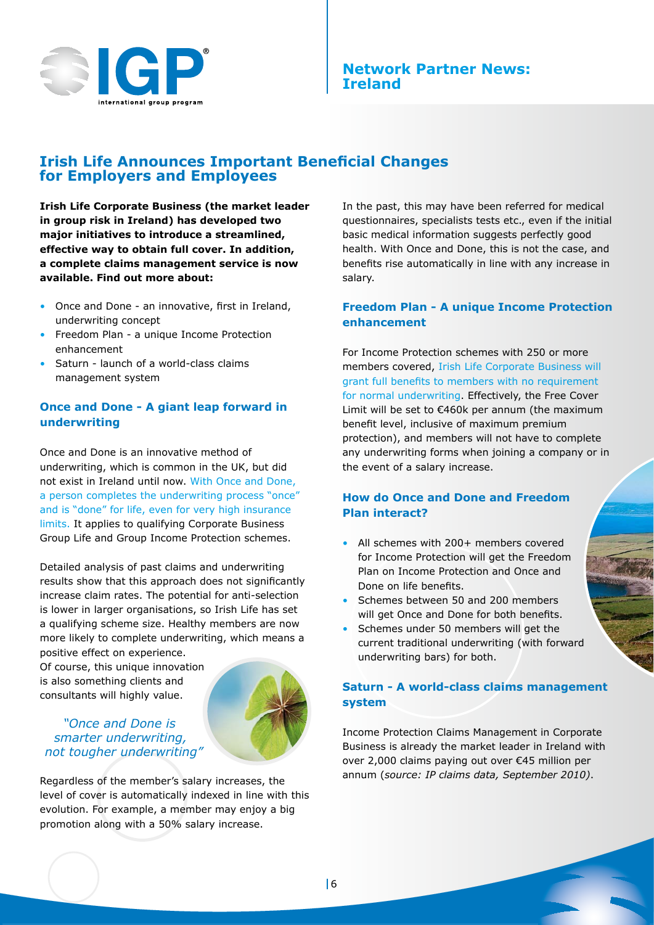

## **Irish Life Announces Important Beneficial Changes for Employers and Employees**

**Irish Life Corporate Business (the market leader in group risk in Ireland) has developed two major initiatives to introduce a streamlined, effective way to obtain full cover. In addition, a complete claims management service is now available. Find out more about:**

- Once and Done an innovative, first in Ireland, underwriting concept
- Freedom Plan a unique Income Protection enhancement
- Saturn launch of a world-class claims management system

## **Once and Done - A giant leap forward in underwriting**

Once and Done is an innovative method of underwriting, which is common in the UK, but did not exist in Ireland until now. With Once and Done, a person completes the underwriting process "once" and is "done" for life, even for very high insurance limits. It applies to qualifying Corporate Business Group Life and Group Income Protection schemes.

Detailed analysis of past claims and underwriting results show that this approach does not significantly increase claim rates. The potential for anti-selection is lower in larger organisations, so Irish Life has set a qualifying scheme size. Healthy members are now more likely to complete underwriting, which means a

positive effect on experience. Of course, this unique innovation is also something clients and consultants will highly value.



*"Once and Done is smarter underwriting, not tougher underwriting"*

Regardless of the member's salary increases, the level of cover is automatically indexed in line with this evolution. For example, a member may enjoy a big promotion along with a 50% salary increase.

In the past, this may have been referred for medical questionnaires, specialists tests etc., even if the initial basic medical information suggests perfectly good health. With Once and Done, this is not the case, and benefits rise automatically in line with any increase in salary.

#### **Freedom Plan - A unique Income Protection enhancement**

For Income Protection schemes with 250 or more members covered, Irish Life Corporate Business will grant full benefits to members with no requirement for normal underwriting. Effectively, the Free Cover Limit will be set to €460k per annum (the maximum benefit level, inclusive of maximum premium protection), and members will not have to complete any underwriting forms when joining a company or in the event of a salary increase.

### **How do Once and Done and Freedom Plan interact?**

- All schemes with 200+ members covered for Income Protection will get the Freedom Plan on Income Protection and Once and Done on life benefits.
- Schemes between 50 and 200 members will get Once and Done for both benefits.
- Schemes under 50 members will get the current traditional underwriting (with forward underwriting bars) for both.

### **Saturn - A world-class claims management system**

Income Protection Claims Management in Corporate Business is already the market leader in Ireland with over 2,000 claims paying out over €45 million per annum (*source: IP claims data, September 2010)*.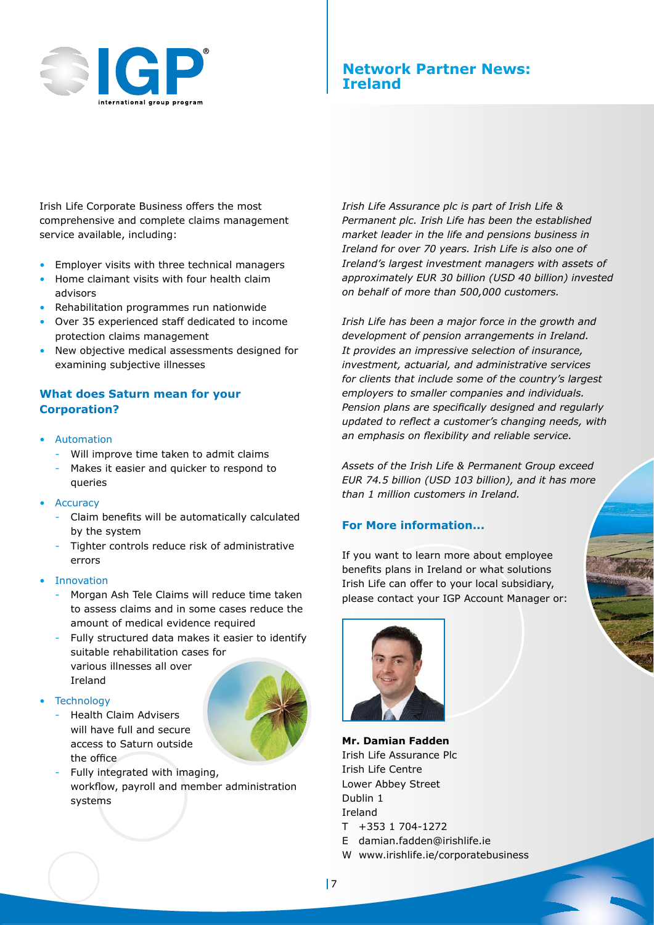

## **Network Partner News: Ireland**

Irish Life Corporate Business offers the most comprehensive and complete claims management service available, including:

- Employer visits with three technical managers
- Home claimant visits with four health claim advisors
- Rehabilitation programmes run nationwide
- Over 35 experienced staff dedicated to income protection claims management
- New objective medical assessments designed for examining subjective illnesses

#### **What does Saturn mean for your Corporation?**

- Automation
	- Will improve time taken to admit claims
	- Makes it easier and quicker to respond to queries
- **Accuracy** 
	- Claim benefits will be automatically calculated by the system
	- Tighter controls reduce risk of administrative errors

#### **Innovation**

- Morgan Ash Tele Claims will reduce time taken to assess claims and in some cases reduce the amount of medical evidence required
- Fully structured data makes it easier to identify suitable rehabilitation cases for various illnesses all over Ireland
- **Technology** 
	- Health Claim Advisers will have full and secure access to Saturn outside the office



Fully integrated with imaging, workflow, payroll and member administration systems

*Irish Life Assurance plc is part of Irish Life & Permanent plc. Irish Life has been the established market leader in the life and pensions business in Ireland for over 70 years. Irish Life is also one of Ireland's largest investment managers with assets of approximately EUR 30 billion (USD 40 billion) invested on behalf of more than 500,000 customers.*

*Irish Life has been a major force in the growth and development of pension arrangements in Ireland. It provides an impressive selection of insurance, investment, actuarial, and administrative services for clients that include some of the country's largest employers to smaller companies and individuals. Pension plans are specifically designed and regularly updated to reflect a customer's changing needs, with an emphasis on flexibility and reliable service.* 

*Assets of the Irish Life & Permanent Group exceed EUR 74.5 billion (USD 103 billion), and it has more than 1 million customers in Ireland.* 

#### **For More information...**

If you want to learn more about employee benefits plans in Ireland or what solutions Irish Life can offer to your local subsidiary, please contact your IGP Account Manager or:



**Mr. Damian Fadden** Irish Life Assurance Plc Irish Life Centre Lower Abbey Street Dublin 1 Ireland T +353 1 704-1272 E damian.fadden@irishlife.ie

W www.irishlife.ie/corporatebusiness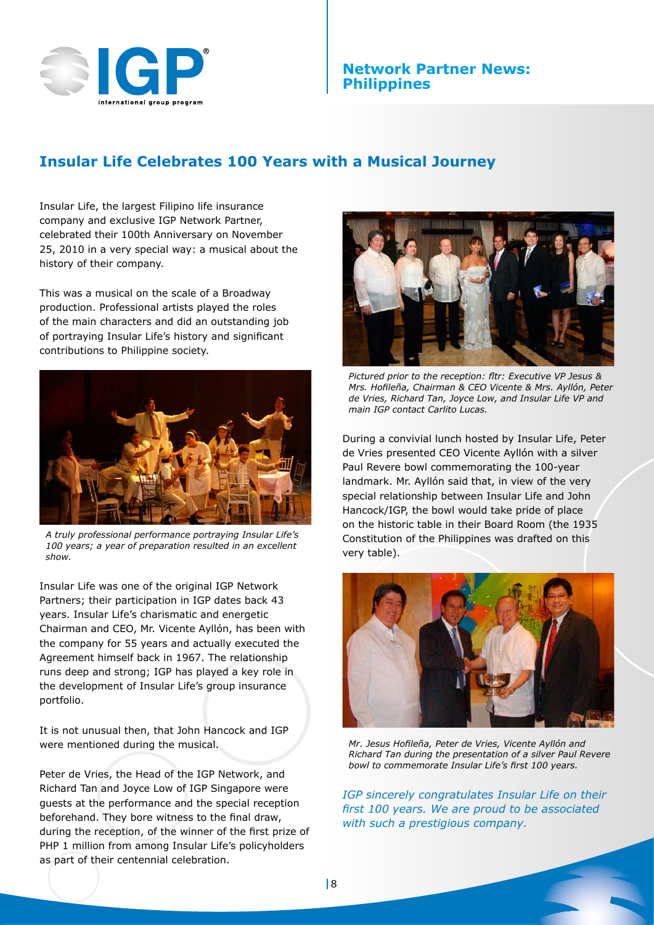

#### **Network Partner News: Philippines**

## **Insular Life Celebrates 100 Years with a Musical Journey**

Insular Life, the largest Filipino life insurance company and exclusive IGP Network Partner, celebrated their 100th Anniversary on November 25, 2010 in a very special way: a musical about the history of their company.

This was a musical on the scale of a Broadway production. Professional artists played the roles of the main characters and did an outstanding job of portraying Insular Life's history and significant contributions to Philippine society.



*A truly professional performance portraying Insular Life's 100 years; a year of preparation resulted in an excellent show.*

Insular Life was one of the original IGP Network Partners; their participation in IGP dates back 43 years. Insular Life's charismatic and energetic Chairman and CEO, Mr. Vicente Ayllón, has been with the company for 55 years and actually executed the Agreement himself back in 1967. The relationship runs deep and strong; IGP has played a key role in the development of Insular Life's group insurance portfolio.

It is not unusual then, that John Hancock and IGP were mentioned during the musical.

Peter de Vries, the Head of the IGP Network, and Richard Tan and Joyce Low of IGP Singapore were guests at the performance and the special reception beforehand. They bore witness to the final draw, during the reception, of the winner of the first prize of PHP 1 million from among Insular Life's policyholders as part of their centennial celebration.



*Pictured prior to the reception: fltr: Executive VP Jesus & Mrs. Hofileña, Chairman & CEO Vicente & Mrs. Ayllón, Peter de Vries, Richard Tan, Joyce Low, and Insular Life VP and main IGP contact Carlito Lucas.* 

During a convivial lunch hosted by Insular Life, Peter de Vries presented CEO Vicente Ayllón with a silver Paul Revere bowl commemorating the 100-year landmark. Mr. Ayllón said that, in view of the very special relationship between Insular Life and John Hancock/IGP, the bowl would take pride of place on the historic table in their Board Room (the 1935 Constitution of the Philippines was drafted on this very table).



*Mr. Jesus Hofileña, Peter de Vries, Vicente Ayllón and Richard Tan during the presentation of a silver Paul Revere bowl to commemorate Insular Life's first 100 years.*

*IGP sincerely congratulates Insular Life on their first 100 years. We are proud to be associated with such a prestigious company.*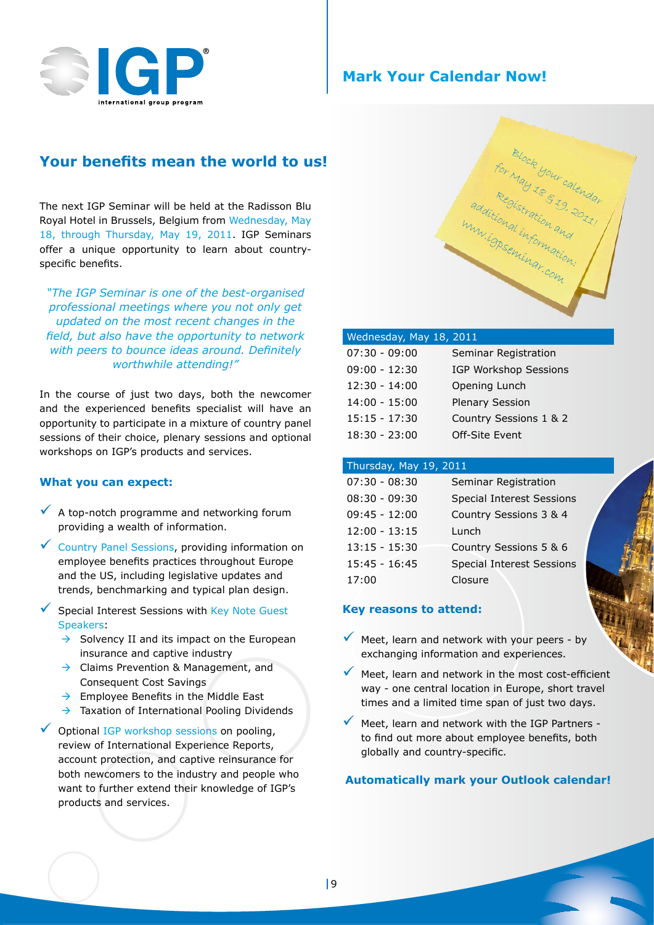

## **Mark Your Calendar Now!**

The next IGP Seminar will be held at the Radisson Blu Royal Hotel in Brussels, Belgium from Wednesday, May 18, through Thursday, May 19, 2011. IGP Seminars offer a unique opportunity to learn about countryspecific benefits.

*"The IGP Seminar is one of the best-organised professional meetings where you not only get updated on the most recent changes in the field, but also have the opportunity to network with peers to bounce ideas around. Definitely worthwhile attending!"*

In the course of just two days, both the newcomer and the experienced benefits specialist will have an opportunity to participate in a mixture of country panel sessions of their choice, plenary sessions and optional workshops on IGP's products and services.

#### **What you can expect:**

- $\sqrt{\phantom{a}}$  A top-notch programme and networking forum providing a wealth of information.
- $\checkmark$  Country Panel Sessions, providing information on employee benefits practices throughout Europe and the US, including legislative updates and trends, benchmarking and typical plan design.
- Special Interest Sessions with Key Note Guest Speakers:
	- $\rightarrow$  Solvency II and its impact on the European insurance and captive industry
	- $\rightarrow$  Claims Prevention & Management, and Consequent Cost Savings
	- $\rightarrow$  Employee Benefits in the Middle East
	- $\rightarrow$  Taxation of International Pooling Dividends
- Optional IGP workshop sessions on pooling, review of International Experience Reports, account protection, and captive reinsurance for both newcomers to the industry and people who want to further extend their knowledge of IGP's products and services.



| Wednesday, May 18, 2011 |                              |  |  |  |
|-------------------------|------------------------------|--|--|--|
| $07:30 - 09:00$         | Seminar Registration         |  |  |  |
| $09:00 - 12:30$         | <b>IGP Workshop Sessions</b> |  |  |  |
| $12:30 - 14:00$         | Opening Lunch                |  |  |  |
| $14:00 - 15:00$         | <b>Plenary Session</b>       |  |  |  |
| $15:15 - 17:30$         | Country Sessions 1 & 2       |  |  |  |
| $18:30 - 23:00$         | Off-Site Event               |  |  |  |
|                         |                              |  |  |  |

#### Thursday, May 19, 2011

| $07:30 - 08:30$ | Seminar Registration             |
|-----------------|----------------------------------|
| $08:30 - 09:30$ | <b>Special Interest Sessions</b> |
| $09:45 - 12:00$ | Country Sessions 3 & 4           |
| $12:00 - 13:15$ | Lunch                            |
| $13:15 - 15:30$ | Country Sessions 5 & 6           |
| $15:45 - 16:45$ | <b>Special Interest Sessions</b> |
| 17:00           | Closure                          |

#### **Key reasons to attend:**

- Meet, learn and network with your peers by exchanging information and experiences.
- Meet, learn and network in the most cost-efficient way - one central location in Europe, short travel times and a limited time span of just two days.
- Meet, learn and network with the IGP Partners to find out more about employee benefits, both globally and country-specific.

#### **Automatically mark your Outlook calendar!**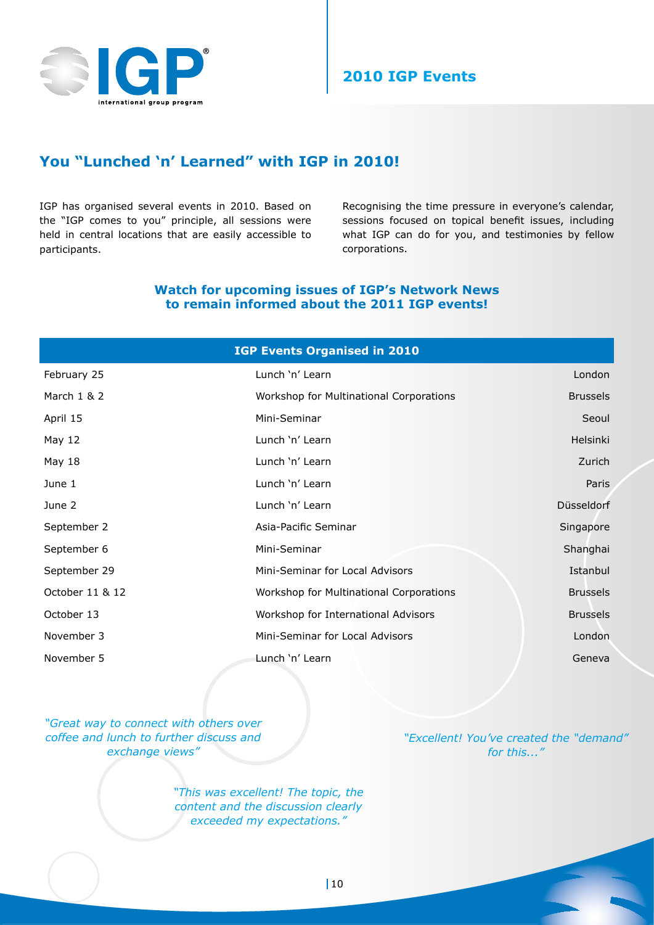

## **You "Lunched 'n' Learned" with IGP in 2010!**

IGP has organised several events in 2010. Based on the "IGP comes to you" principle, all sessions were held in central locations that are easily accessible to participants.

Recognising the time pressure in everyone's calendar, sessions focused on topical benefit issues, including what IGP can do for you, and testimonies by fellow corporations.

#### **Watch for upcoming issues of IGP's Network News to remain informed about the 2011 IGP events!**

| <b>IGP Events Organised in 2010</b> |                                         |                 |  |
|-------------------------------------|-----------------------------------------|-----------------|--|
| February 25                         | Lunch 'n' Learn                         | London          |  |
| March 1 & 2                         | Workshop for Multinational Corporations | <b>Brussels</b> |  |
| April 15                            | Mini-Seminar                            | Seoul           |  |
| May 12                              | Lunch 'n' Learn                         | <b>Helsinki</b> |  |
| May 18                              | Lunch 'n' Learn                         | Zurich          |  |
| June 1                              | Lunch 'n' Learn                         | Paris           |  |
| June 2                              | Lunch 'n' Learn                         | Düsseldorf      |  |
| September 2                         | Asia-Pacific Seminar                    | Singapore       |  |
| September 6                         | Mini-Seminar                            | Shanghai        |  |
| September 29                        | Mini-Seminar for Local Advisors         | Istanbul        |  |
| October 11 & 12                     | Workshop for Multinational Corporations | <b>Brussels</b> |  |
| October 13                          | Workshop for International Advisors     | <b>Brussels</b> |  |
| November 3                          | Mini-Seminar for Local Advisors         | London          |  |
| November 5                          | Lunch 'n' Learn                         | Geneva          |  |

*"Great way to connect with others over coffee and lunch to further discuss and exchange views"*

> *"This was excellent! The topic, the content and the discussion clearly exceeded my expectations."*

*"Excellent! You've created the "demand" for this..."*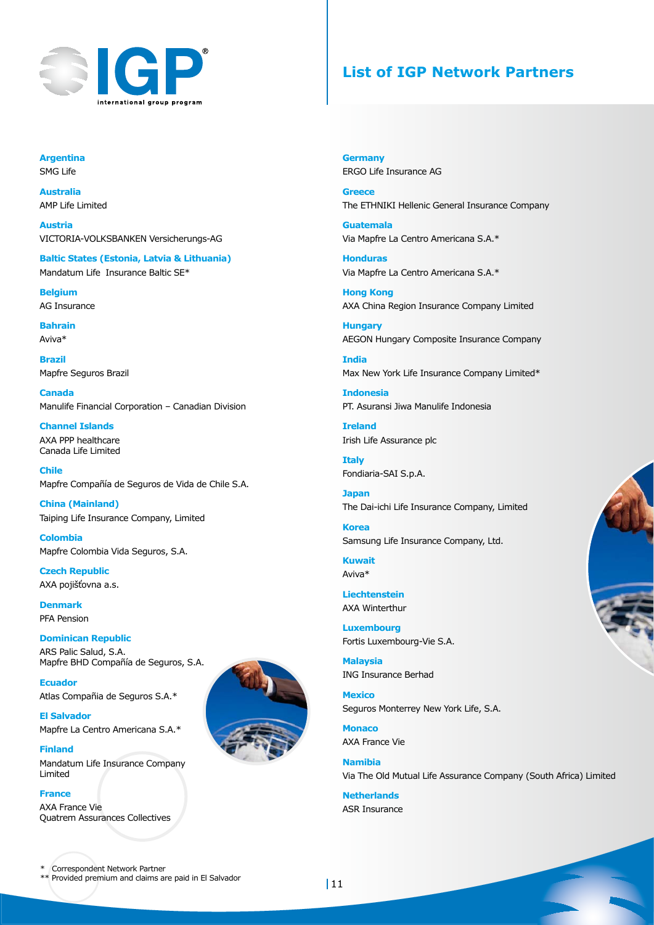

## **List of IGP Network Partners**

**Argentina** SMG Life

**Australia** AMP Life Limited

**Austria** VICTORIA-VOLKSBANKEN Versicherungs-AG

**Baltic States (Estonia, Latvia & Lithuania)** Mandatum Life Insurance Baltic SE\*

**Belgium** AG Insurance

**Bahrain** Aviva\*

**Brazil** Mapfre Seguros Brazil

**Canada** Manulife Financial Corporation – Canadian Division

**Channel Islands** AXA PPP healthcare Canada Life Limited

**Chile** Mapfre Compañía de Seguros de Vida de Chile S.A.

**China (Mainland)** Taiping Life Insurance Company, Limited

**Colombia** Mapfre Colombia Vida Seguros, S.A.

**Czech Republic** AXA pojišťovna a.s.

**Denmark** PFA Pension

**Dominican Republic**

ARS Palic Salud, S.A. Mapfre BHD Compañía de Seguros, S.A.

**Ecuador** Atlas Compañia de Seguros S.A.\*

**El Salvador** Mapfre La Centro Americana S.A.\*

**Finland** Mandatum Life Insurance Company Limited

**France**  AXA France Vie Quatrem Assurances Collectives



**Germany** ERGO Life Insurance AG

**Greece** The ETHNIKI Hellenic General Insurance Company

**Guatemala** Via Mapfre La Centro Americana S.A.\*

**Honduras** Via Mapfre La Centro Americana S.A.\*

**Hong Kong** AXA China Region Insurance Company Limited

**Hungary** AEGON Hungary Composite Insurance Company

**India** Max New York Life Insurance Company Limited\*

**Indonesia** PT. Asuransi Jiwa Manulife Indonesia

**Ireland** Irish Life Assurance plc

**Italy** Fondiaria-SAI S.p.A.

**Japan** The Dai-ichi Life Insurance Company, Limited

**Korea** Samsung Life Insurance Company, Ltd.

**Kuwait** Aviva\*

**Liechtenstein** AXA Winterthur

**Luxembourg** Fortis Luxembourg-Vie S.A.

**Malaysia** ING Insurance Berhad

**Mexico** Seguros Monterrey New York Life, S.A.

**Monaco** AXA France Vie

**Namibia** Via The Old Mutual Life Assurance Company (South Africa) Limited

**Netherlands** ASR Insurance

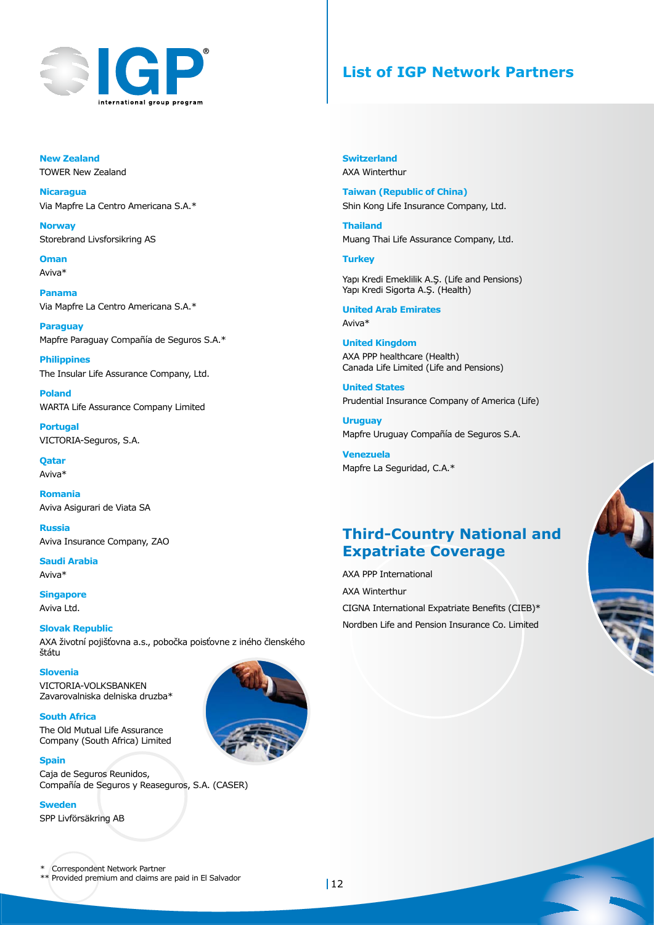

## **List of IGP Network Partners**

**New Zealand** TOWER New Zealand

**Nicaragua**  Via Mapfre La Centro Americana S.A.\*

**Norway** Storebrand Livsforsikring AS

**Oman** Aviva\*

**Panama** Via Mapfre La Centro Americana S.A.\*

**Paraguay** Mapfre Paraguay Compañía de Seguros S.A.\*

**Philippines** The Insular Life Assurance Company, Ltd.

**Poland** WARTA Life Assurance Company Limited

**Portugal** VICTORIA-Seguros, S.A.

**Qatar** Aviva\*

**Romania** Aviva Asigurari de Viata SA

**Russia** Aviva Insurance Company, ZAO

**Saudi Arabia** Aviva\*

**Singapore** Aviva Ltd.

#### **Slovak Republic**

AXA životní pojišťovna a.s., pobočka poisťovne z iného členského štátu

**Slovenia**

VICTORIA-VOLKSBANKEN Zavarovalniska delniska druzba\*

**South Africa** The Old Mutual Life Assurance Company (South Africa) Limited

**Spain** Caja de Seguros Reunidos, Compañía de Seguros y Reaseguros, S.A. (CASER)

#### **Sweden**

SPP Livförsäkring AB



**Switzerland** AXA Winterthur

**Taiwan (Republic of China)** Shin Kong Life Insurance Company, Ltd.

**Thailand** Muang Thai Life Assurance Company, Ltd.

#### **Turkey**

Yapı Kredi Emeklilik A.Ş. (Life and Pensions) Yapı Kredi Sigorta A.Ş. (Health)

**United Arab Emirates** Aviva\*

**United Kingdom** AXA PPP healthcare (Health) Canada Life Limited (Life and Pensions)

**United States** Prudential Insurance Company of America (Life)

**Uruguay** Mapfre Uruguay Compañía de Seguros S.A.

**Venezuela** Mapfre La Seguridad, C.A.\*

## **Third-Country National and Expatriate Coverage**

AXA PPP International AXA Winterthur CIGNA International Expatriate Benefits (CIEB)\* Nordben Life and Pension Insurance Co. Limited